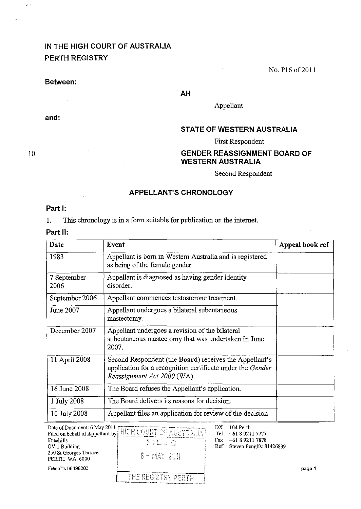# IN THE HIGH COURT OF AUSTRALIA PERTH REGISTRY

No. P16 of 2011

#### Between:

 $\overline{\phantom{a}}$ 

and:

AH

Appellant

# STATE OF WESTERN AUSTRALIA

First Respondent

# GENDER REASSIGNMENT BOARD OF WESTERN AUSTRALIA

Second Respondent

### APPELLANT'S CHRONOLOGY

## Part I:

1. This chronology is in a form suitable for publication on the internet.

# Part 11:

| Date                | Event                                                                                                                                               | Appeal book ref |
|---------------------|-----------------------------------------------------------------------------------------------------------------------------------------------------|-----------------|
| 1983                | Appellant is born in Western Australia and is registered<br>as being of the female gender                                                           |                 |
| 7 September<br>2006 | Appellant is diagnosed as having gender identity<br>disorder.                                                                                       |                 |
| September 2006      | Appellant commences testosterone treatment.                                                                                                         |                 |
| June 2007           | Appellant undergoes a bilateral subcutaneous<br>mastectomy.                                                                                         |                 |
| December 2007       | Appellant undergoes a revision of the bilateral<br>subcutaneous mastectomy that was undertaken in June<br>2007.                                     |                 |
| 11 April 2008       | Second Respondent (the Board) receives the Appellant's<br>application for a recognition certificate under the Gender<br>Reassignment Act 2000 (WA). |                 |
| 16 June 2008        | The Board refuses the Appellant's application.                                                                                                      |                 |
| 1 July 2008         | The Board delivers its reasons for decision.                                                                                                        |                 |
| 10 July 2008        | Appellant files an application for review of the decision                                                                                           |                 |

|                                         | Date of Document: 6 May 2011 [HIGH COURT OF AUSTRALIAT                                                                                |     | 104 Perth                |        |
|-----------------------------------------|---------------------------------------------------------------------------------------------------------------------------------------|-----|--------------------------|--------|
|                                         |                                                                                                                                       | Tel | +61 8 9211 7777          |        |
| Freehills                               | 不让日本                                                                                                                                  | Fax | +61 8 9211 7878          |        |
| QV.1 Building                           |                                                                                                                                       | Ref | Steven Penglis: 81426839 |        |
| 250 St Georges Terrace<br>PERTH WA 6000 | 6 - MAY 201                                                                                                                           |     |                          |        |
| Freehills I\8498203                     |                                                                                                                                       |     |                          | page 1 |
|                                         | THE REGISTRY PERTH<br>in the contract of the property contract of the property of the property of the contract of the contract of the |     |                          |        |

10

 $\mu$   $\sim$